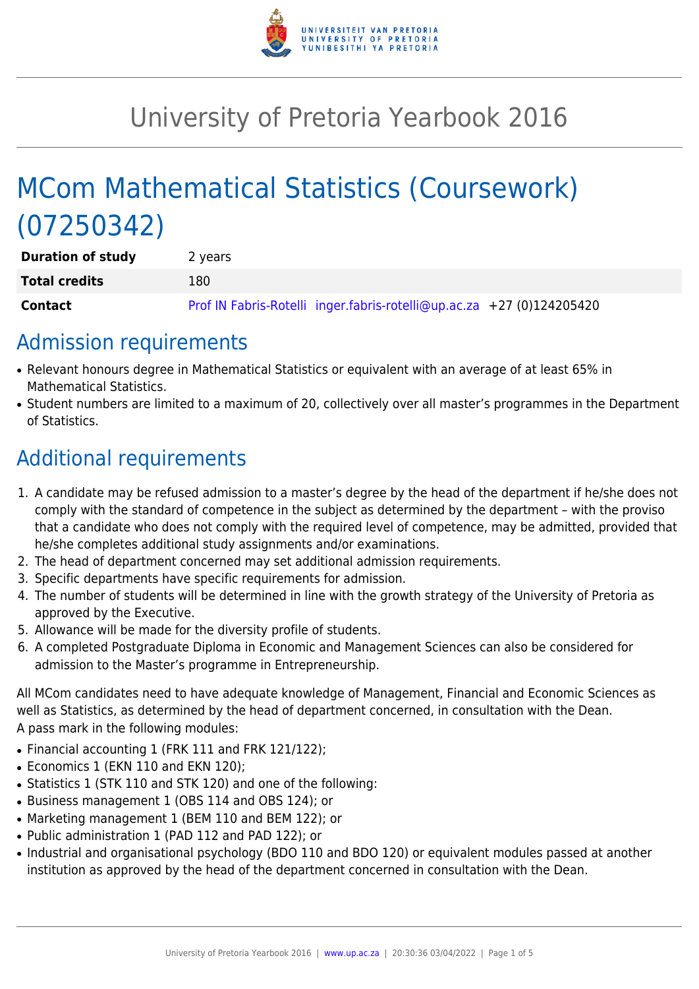

# University of Pretoria Yearbook 2016

# MCom Mathematical Statistics (Coursework) (07250342)

| <b>Duration of study</b> | 2 years                                                               |
|--------------------------|-----------------------------------------------------------------------|
| <b>Total credits</b>     | 180                                                                   |
| <b>Contact</b>           | Prof IN Fabris-Rotelli inger.fabris-rotelli@up.ac.za +27 (0)124205420 |

### Admission requirements

- Relevant honours degree in Mathematical Statistics or equivalent with an average of at least 65% in Mathematical Statistics.
- Student numbers are limited to a maximum of 20, collectively over all master's programmes in the Department of Statistics.

# Additional requirements

- 1. A candidate may be refused admission to a master's degree by the head of the department if he/she does not comply with the standard of competence in the subject as determined by the department – with the proviso that a candidate who does not comply with the required level of competence, may be admitted, provided that he/she completes additional study assignments and/or examinations.
- 2. The head of department concerned may set additional admission requirements.
- 3. Specific departments have specific requirements for admission.
- 4. The number of students will be determined in line with the growth strategy of the University of Pretoria as approved by the Executive.
- 5. Allowance will be made for the diversity profile of students.
- 6. A completed Postgraduate Diploma in Economic and Management Sciences can also be considered for admission to the Master's programme in Entrepreneurship.

All MCom candidates need to have adequate knowledge of Management, Financial and Economic Sciences as well as Statistics, as determined by the head of department concerned, in consultation with the Dean. A pass mark in the following modules:

- Financial accounting 1 (FRK 111 and FRK 121/122);
- Economics 1 (EKN 110 and EKN 120);
- Statistics 1 (STK 110 and STK 120) and one of the following:
- Business management 1 (OBS 114 and OBS 124): or
- Marketing management 1 (BEM 110 and BEM 122); or
- Public administration 1 (PAD 112 and PAD 122); or
- Industrial and organisational psychology (BDO 110 and BDO 120) or equivalent modules passed at another institution as approved by the head of the department concerned in consultation with the Dean.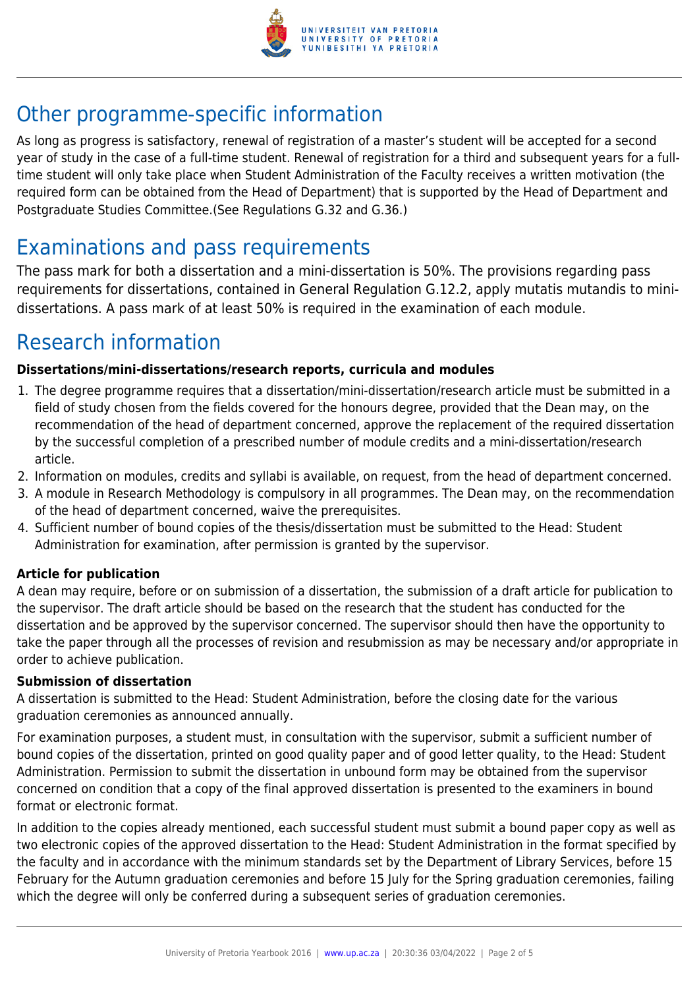

## Other programme-specific information

As long as progress is satisfactory, renewal of registration of a master's student will be accepted for a second year of study in the case of a full-time student. Renewal of registration for a third and subsequent years for a fulltime student will only take place when Student Administration of the Faculty receives a written motivation (the required form can be obtained from the Head of Department) that is supported by the Head of Department and Postgraduate Studies Committee.(See Regulations G.32 and G.36.)

## Examinations and pass requirements

The pass mark for both a dissertation and a mini-dissertation is 50%. The provisions regarding pass requirements for dissertations, contained in General Regulation G.12.2, apply mutatis mutandis to minidissertations. A pass mark of at least 50% is required in the examination of each module.

### Research information

#### **Dissertations/mini-dissertations/research reports, curricula and modules**

- 1. The degree programme requires that a dissertation/mini-dissertation/research article must be submitted in a field of study chosen from the fields covered for the honours degree, provided that the Dean may, on the recommendation of the head of department concerned, approve the replacement of the required dissertation by the successful completion of a prescribed number of module credits and a mini-dissertation/research article.
- 2. Information on modules, credits and syllabi is available, on request, from the head of department concerned.
- 3. A module in Research Methodology is compulsory in all programmes. The Dean may, on the recommendation of the head of department concerned, waive the prerequisites.
- 4. Sufficient number of bound copies of the thesis/dissertation must be submitted to the Head: Student Administration for examination, after permission is granted by the supervisor.

#### **Article for publication**

A dean may require, before or on submission of a dissertation, the submission of a draft article for publication to the supervisor. The draft article should be based on the research that the student has conducted for the dissertation and be approved by the supervisor concerned. The supervisor should then have the opportunity to take the paper through all the processes of revision and resubmission as may be necessary and/or appropriate in order to achieve publication.

#### **Submission of dissertation**

A dissertation is submitted to the Head: Student Administration, before the closing date for the various graduation ceremonies as announced annually.

For examination purposes, a student must, in consultation with the supervisor, submit a sufficient number of bound copies of the dissertation, printed on good quality paper and of good letter quality, to the Head: Student Administration. Permission to submit the dissertation in unbound form may be obtained from the supervisor concerned on condition that a copy of the final approved dissertation is presented to the examiners in bound format or electronic format.

In addition to the copies already mentioned, each successful student must submit a bound paper copy as well as two electronic copies of the approved dissertation to the Head: Student Administration in the format specified by the faculty and in accordance with the minimum standards set by the Department of Library Services, before 15 February for the Autumn graduation ceremonies and before 15 July for the Spring graduation ceremonies, failing which the degree will only be conferred during a subsequent series of graduation ceremonies.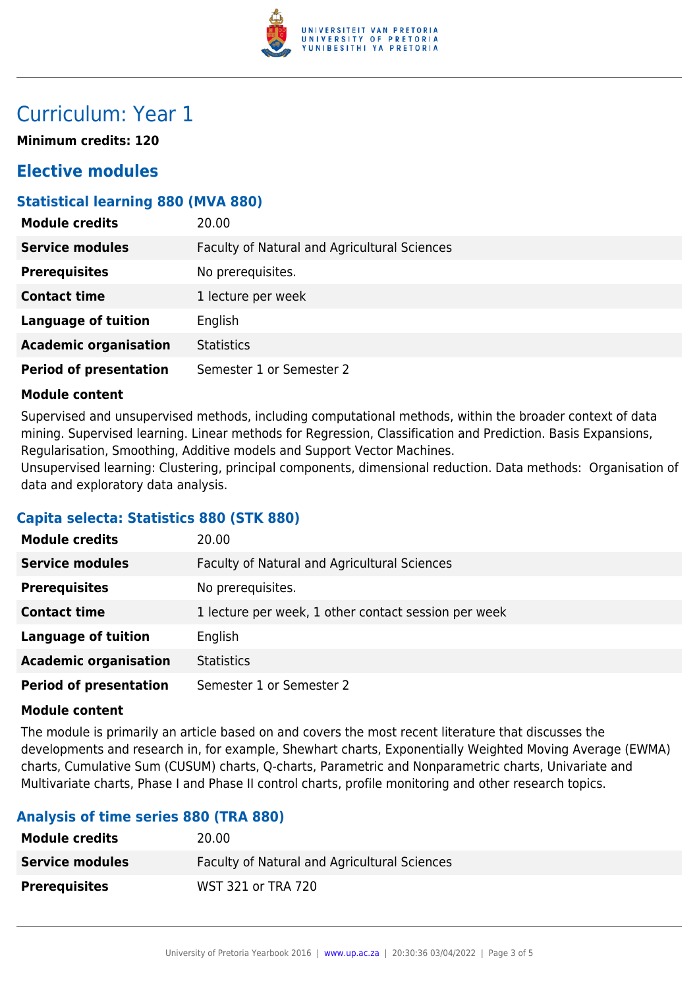

### Curriculum: Year 1

**Minimum credits: 120**

### **Elective modules**

#### **Statistical learning 880 (MVA 880)**

| <b>Module credits</b>         | 20.00                                        |
|-------------------------------|----------------------------------------------|
| <b>Service modules</b>        | Faculty of Natural and Agricultural Sciences |
| <b>Prerequisites</b>          | No prerequisites.                            |
| <b>Contact time</b>           | 1 lecture per week                           |
| <b>Language of tuition</b>    | English                                      |
| <b>Academic organisation</b>  | <b>Statistics</b>                            |
| <b>Period of presentation</b> | Semester 1 or Semester 2                     |

#### **Module content**

Supervised and unsupervised methods, including computational methods, within the broader context of data mining. Supervised learning. Linear methods for Regression, Classification and Prediction. Basis Expansions, Regularisation, Smoothing, Additive models and Support Vector Machines.

Unsupervised learning: Clustering, principal components, dimensional reduction. Data methods: Organisation of data and exploratory data analysis.

#### **Capita selecta: Statistics 880 (STK 880)**

| <b>Module credits</b>         | 20.00                                                |
|-------------------------------|------------------------------------------------------|
| <b>Service modules</b>        | Faculty of Natural and Agricultural Sciences         |
| <b>Prerequisites</b>          | No prerequisites.                                    |
| <b>Contact time</b>           | 1 lecture per week, 1 other contact session per week |
| <b>Language of tuition</b>    | English                                              |
| <b>Academic organisation</b>  | <b>Statistics</b>                                    |
| <b>Period of presentation</b> | Semester 1 or Semester 2                             |

#### **Module content**

The module is primarily an article based on and covers the most recent literature that discusses the developments and research in, for example, Shewhart charts, Exponentially Weighted Moving Average (EWMA) charts, Cumulative Sum (CUSUM) charts, Q-charts, Parametric and Nonparametric charts, Univariate and Multivariate charts, Phase I and Phase II control charts, profile monitoring and other research topics.

### **Analysis of time series 880 (TRA 880)**

| <b>Module credits</b>  | 20.00                                               |
|------------------------|-----------------------------------------------------|
| <b>Service modules</b> | <b>Faculty of Natural and Agricultural Sciences</b> |
| <b>Prerequisites</b>   | WST 321 or TRA 720                                  |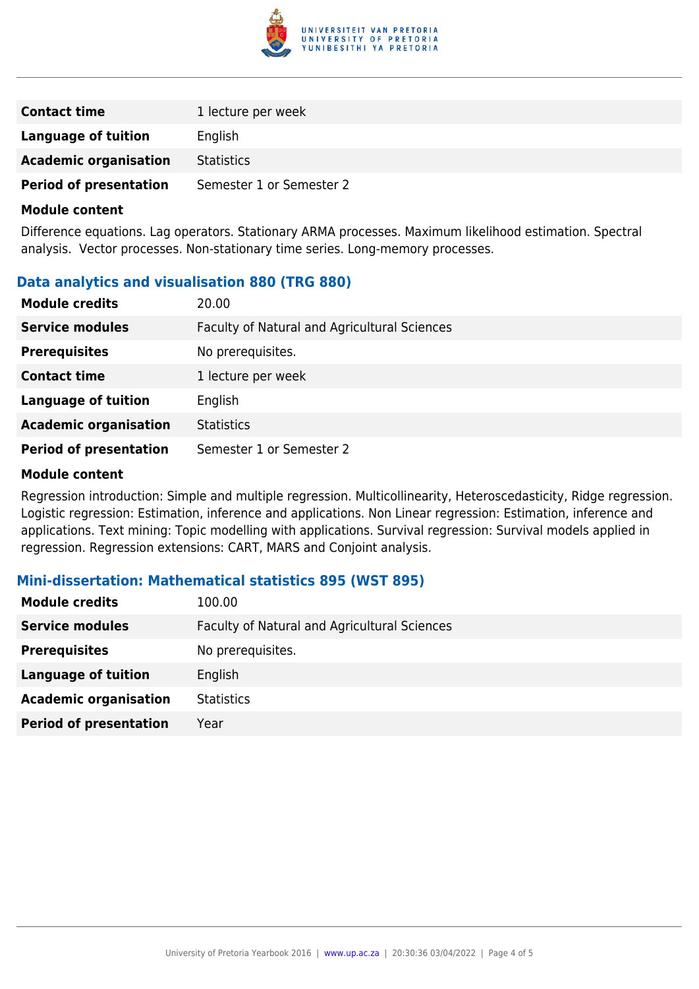

| <b>Contact time</b>           | 1 lecture per week       |
|-------------------------------|--------------------------|
| Language of tuition           | English                  |
| <b>Academic organisation</b>  | <b>Statistics</b>        |
| <b>Period of presentation</b> | Semester 1 or Semester 2 |

#### **Module content**

Difference equations. Lag operators. Stationary ARMA processes. Maximum likelihood estimation. Spectral analysis. Vector processes. Non-stationary time series. Long-memory processes.

#### **Data analytics and visualisation 880 (TRG 880)**

| <b>Module credits</b>         | 20.00                                        |
|-------------------------------|----------------------------------------------|
| <b>Service modules</b>        | Faculty of Natural and Agricultural Sciences |
| <b>Prerequisites</b>          | No prerequisites.                            |
| <b>Contact time</b>           | 1 lecture per week                           |
| <b>Language of tuition</b>    | English                                      |
| <b>Academic organisation</b>  | <b>Statistics</b>                            |
| <b>Period of presentation</b> | Semester 1 or Semester 2                     |

#### **Module content**

Regression introduction: Simple and multiple regression. Multicollinearity, Heteroscedasticity, Ridge regression. Logistic regression: Estimation, inference and applications. Non Linear regression: Estimation, inference and applications. Text mining: Topic modelling with applications. Survival regression: Survival models applied in regression. Regression extensions: CART, MARS and Conjoint analysis.

#### **Mini-dissertation: Mathematical statistics 895 (WST 895)**

| <b>Module credits</b>         | 100.00                                       |
|-------------------------------|----------------------------------------------|
| <b>Service modules</b>        | Faculty of Natural and Agricultural Sciences |
| <b>Prerequisites</b>          | No prerequisites.                            |
| Language of tuition           | English                                      |
| <b>Academic organisation</b>  | <b>Statistics</b>                            |
| <b>Period of presentation</b> | Year                                         |